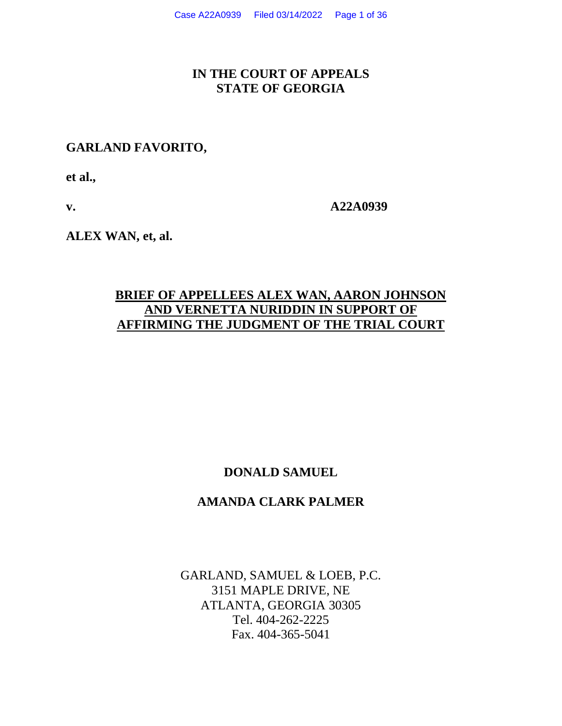## **IN THE COURT OF APPEALS STATE OF GEORGIA**

## **GARLAND FAVORITO,**

**et al.,**

**v. A22A0939**

**ALEX WAN, et, al.**

## **BRIEF OF APPELLEES ALEX WAN, AARON JOHNSON AND VERNETTA NURIDDIN IN SUPPORT OF AFFIRMING THE JUDGMENT OF THE TRIAL COURT**

## **DONALD SAMUEL**

### **AMANDA CLARK PALMER**

GARLAND, SAMUEL & LOEB, P.C. 3151 MAPLE DRIVE, NE ATLANTA, GEORGIA 30305 Tel. 404-262-2225 Fax. 404-365-5041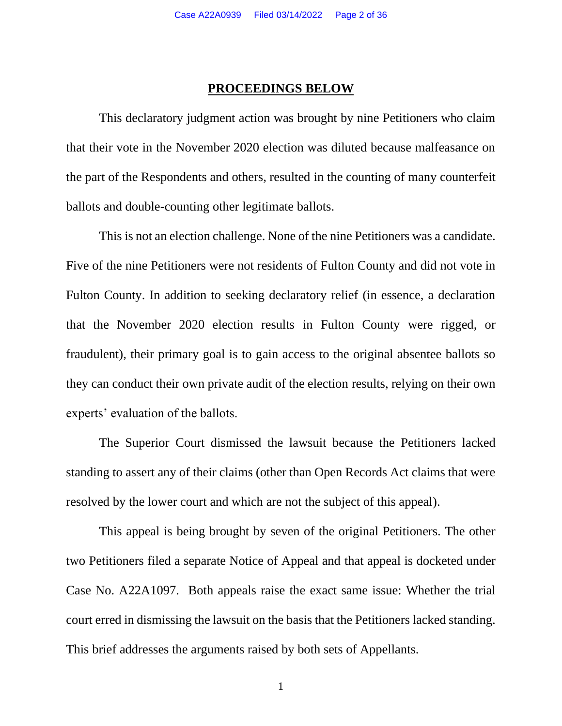#### **PROCEEDINGS BELOW**

This declaratory judgment action was brought by nine Petitioners who claim that their vote in the November 2020 election was diluted because malfeasance on the part of the Respondents and others, resulted in the counting of many counterfeit ballots and double-counting other legitimate ballots.

This is not an election challenge. None of the nine Petitioners was a candidate. Five of the nine Petitioners were not residents of Fulton County and did not vote in Fulton County. In addition to seeking declaratory relief (in essence, a declaration that the November 2020 election results in Fulton County were rigged, or fraudulent), their primary goal is to gain access to the original absentee ballots so they can conduct their own private audit of the election results, relying on their own experts' evaluation of the ballots.

The Superior Court dismissed the lawsuit because the Petitioners lacked standing to assert any of their claims (other than Open Records Act claims that were resolved by the lower court and which are not the subject of this appeal).

This appeal is being brought by seven of the original Petitioners. The other two Petitioners filed a separate Notice of Appeal and that appeal is docketed under Case No. A22A1097. Both appeals raise the exact same issue: Whether the trial court erred in dismissing the lawsuit on the basis that the Petitioners lacked standing. This brief addresses the arguments raised by both sets of Appellants.

1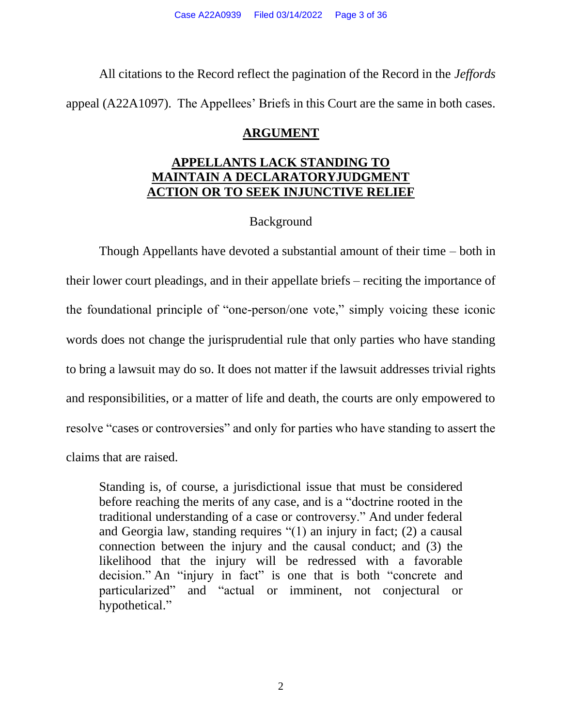All citations to the Record reflect the pagination of the Record in the *Jeffords* appeal (A22A1097). The Appellees' Briefs in this Court are the same in both cases.

## **ARGUMENT**

## **APPELLANTS LACK STANDING TO MAINTAIN A DECLARATORYJUDGMENT ACTION OR TO SEEK INJUNCTIVE RELIEF**

# **Background**

Though Appellants have devoted a substantial amount of their time – both in their lower court pleadings, and in their appellate briefs – reciting the importance of the foundational principle of "one-person/one vote," simply voicing these iconic words does not change the jurisprudential rule that only parties who have standing to bring a lawsuit may do so. It does not matter if the lawsuit addresses trivial rights and responsibilities, or a matter of life and death, the courts are only empowered to resolve "cases or controversies" and only for parties who have standing to assert the claims that are raised.

Standing is, of course, a jurisdictional issue that must be considered before reaching the merits of any case, and is a "doctrine rooted in the traditional understanding of a case or controversy." And under federal and Georgia law, standing requires "(1) an injury in fact; (2) a causal connection between the injury and the causal conduct; and (3) the likelihood that the injury will be redressed with a favorable decision." An "injury in fact" is one that is both "concrete and particularized" and "actual or imminent, not conjectural or hypothetical."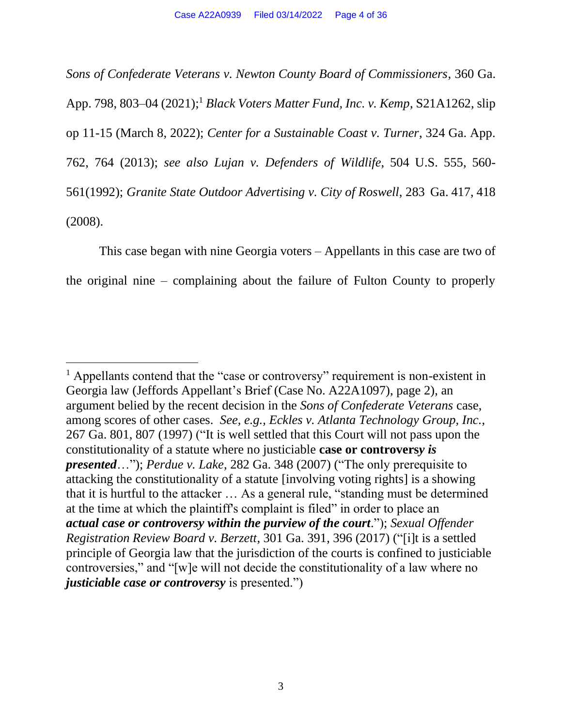*Sons of Confederate Veterans v. Newton County Board of Commissioners*, 360 Ga. App. 798, 803–04 (2021); <sup>1</sup> *Black Voters Matter Fund, Inc. v. Kemp*, S21A1262, slip op 11-15 (March 8, 2022); *[Center for a Sustainable](https://1.next.westlaw.com/Link/Document/FullText?findType=Y&serNum=2031966143&pubNum=0000360&originatingDoc=Iec6f7e00b27c11ea9e229b5f182c9c44&refType=RP&fi=co_pp_sp_360_764&originationContext=document&transitionType=DocumentItem&contextData=(sc.Default)&co_pp_sp_360_764) [Coast v. Turner](https://1.next.westlaw.com/Link/Document/FullText?findType=Y&serNum=2031966143&pubNum=0000360&originatingDoc=Iec6f7e00b27c11ea9e229b5f182c9c44&refType=RP&fi=co_pp_sp_360_764&originationContext=document&transitionType=DocumentItem&contextData=(sc.Default)&co_pp_sp_360_764)*, 324 Ga. App. [762, 764 \(2013\);](https://1.next.westlaw.com/Link/Document/FullText?findType=Y&serNum=2031966143&pubNum=0000360&originatingDoc=Iec6f7e00b27c11ea9e229b5f182c9c44&refType=RP&fi=co_pp_sp_360_764&originationContext=document&transitionType=DocumentItem&contextData=(sc.Default)&co_pp_sp_360_764) *see also [Lujan v. Defenders of](https://1.next.westlaw.com/Link/Document/FullText?findType=Y&serNum=1992106162&pubNum=0000780&originatingDoc=Iec6f7e00b27c11ea9e229b5f182c9c44&refType=RP&fi=co_pp_sp_780_560&originationContext=document&transitionType=DocumentItem&contextData=(sc.Default)&co_pp_sp_780_560) [Wildlife](https://1.next.westlaw.com/Link/Document/FullText?findType=Y&serNum=1992106162&pubNum=0000780&originatingDoc=Iec6f7e00b27c11ea9e229b5f182c9c44&refType=RP&fi=co_pp_sp_780_560&originationContext=document&transitionType=DocumentItem&contextData=(sc.Default)&co_pp_sp_780_560)*, 504 U.S. 555, 560- [561\(1992\);](https://1.next.westlaw.com/Link/Document/FullText?findType=Y&serNum=1992106162&pubNum=0000780&originatingDoc=Iec6f7e00b27c11ea9e229b5f182c9c44&refType=RP&fi=co_pp_sp_780_560&originationContext=document&transitionType=DocumentItem&contextData=(sc.Default)&co_pp_sp_780_560) *Granite State Outdoor [Advertising](https://1.next.westlaw.com/Link/Document/FullText?findType=Y&serNum=2015436013&pubNum=0000359&originatingDoc=Iec6f7e00b27c11ea9e229b5f182c9c44&refType=RP&fi=co_pp_sp_359_418&originationContext=document&transitionType=DocumentItem&contextData=(sc.Default)&co_pp_sp_359_418) v. City of Roswell*, 28[3 Ga.](https://1.next.westlaw.com/Link/Document/FullText?findType=Y&serNum=2015436013&pubNum=0000359&originatingDoc=Iec6f7e00b27c11ea9e229b5f182c9c44&refType=RP&fi=co_pp_sp_359_418&originationContext=document&transitionType=DocumentItem&contextData=(sc.Default)&co_pp_sp_359_418) 417, 418 [\(2008\).](https://1.next.westlaw.com/Link/Document/FullText?findType=Y&serNum=2015436013&pubNum=0000359&originatingDoc=Iec6f7e00b27c11ea9e229b5f182c9c44&refType=RP&fi=co_pp_sp_359_418&originationContext=document&transitionType=DocumentItem&contextData=(sc.Default)&co_pp_sp_359_418)

This case began with nine Georgia voters – Appellants in this case are two of the original nine – complaining about the failure of Fulton County to properly

<sup>&</sup>lt;sup>1</sup> Appellants contend that the "case or controversy" requirement is non-existent in Georgia law (Jeffords Appellant's Brief (Case No. A22A1097), page 2), an argument belied by the recent decision in the *Sons of Confederate Veterans* case, among scores of other cases. *See, e.g., Eckles v. Atlanta Technology Group, Inc.*, 267 Ga. 801, 807 (1997) ("It is well settled that this Court will not pass upon the constitutionality of a statute where no justiciable **case or controvers***y is presented*…"); *Perdue v. Lake*, 282 Ga. 348 (2007) ("The only prerequisite to attacking the constitutionality of a statute [involving voting rights] is a showing that it is hurtful to the attacker … As a general rule, "standing must be determined at the time at which the plaintiff's complaint is filed" in order to place an *actual case or controversy within the purview of the court*."); *Sexual Offender Registration Review Board v. Berzett*, 301 Ga. 391, 396 (2017) ("[i]t is a settled principle of Georgia law that the jurisdiction of the courts is confined to justiciable controversies," and "[w]e will not decide the constitutionality of a law where no *justiciable case or controversy* is presented.")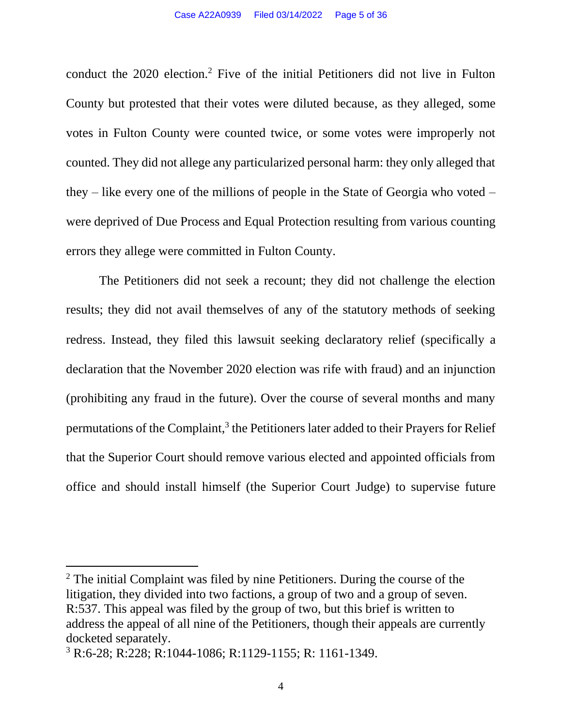conduct the 2020 election.<sup>2</sup> Five of the initial Petitioners did not live in Fulton County but protested that their votes were diluted because, as they alleged, some votes in Fulton County were counted twice, or some votes were improperly not counted. They did not allege any particularized personal harm: they only alleged that they – like every one of the millions of people in the State of Georgia who voted – were deprived of Due Process and Equal Protection resulting from various counting errors they allege were committed in Fulton County.

The Petitioners did not seek a recount; they did not challenge the election results; they did not avail themselves of any of the statutory methods of seeking redress. Instead, they filed this lawsuit seeking declaratory relief (specifically a declaration that the November 2020 election was rife with fraud) and an injunction (prohibiting any fraud in the future). Over the course of several months and many permutations of the Complaint,<sup>3</sup> the Petitioners later added to their Prayers for Relief that the Superior Court should remove various elected and appointed officials from office and should install himself (the Superior Court Judge) to supervise future

<sup>&</sup>lt;sup>2</sup> The initial Complaint was filed by nine Petitioners. During the course of the litigation, they divided into two factions, a group of two and a group of seven. R:537. This appeal was filed by the group of two, but this brief is written to address the appeal of all nine of the Petitioners, though their appeals are currently docketed separately.

<sup>3</sup> R:6-28; R:228; R:1044-1086; R:1129-1155; R: 1161-1349.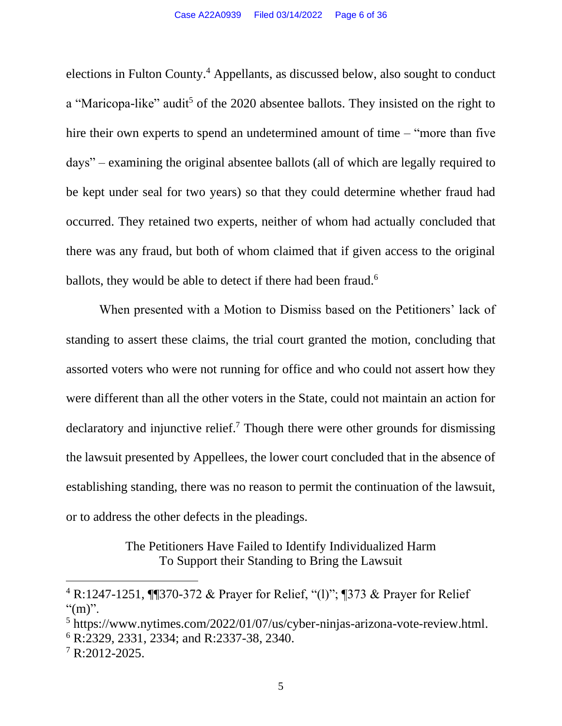elections in Fulton County.<sup>4</sup> Appellants, as discussed below, also sought to conduct a "Maricopa-like" audit<sup>5</sup> of the 2020 absentee ballots. They insisted on the right to hire their own experts to spend an undetermined amount of time – "more than five" days" – examining the original absentee ballots (all of which are legally required to be kept under seal for two years) so that they could determine whether fraud had occurred. They retained two experts, neither of whom had actually concluded that there was any fraud, but both of whom claimed that if given access to the original ballots, they would be able to detect if there had been fraud.<sup>6</sup>

When presented with a Motion to Dismiss based on the Petitioners' lack of standing to assert these claims, the trial court granted the motion, concluding that assorted voters who were not running for office and who could not assert how they were different than all the other voters in the State, could not maintain an action for declaratory and injunctive relief.<sup>7</sup> Though there were other grounds for dismissing the lawsuit presented by Appellees, the lower court concluded that in the absence of establishing standing, there was no reason to permit the continuation of the lawsuit, or to address the other defects in the pleadings.

> The Petitioners Have Failed to Identify Individualized Harm To Support their Standing to Bring the Lawsuit

<sup>4</sup> R:1247-1251, ¶¶370-372 & Prayer for Relief, "(l)"; ¶373 & Prayer for Relief " $(m)$ ".

<sup>5</sup> https://www.nytimes.com/2022/01/07/us/cyber-ninjas-arizona-vote-review.html.

<sup>6</sup> R:2329, 2331, 2334; and R:2337-38, 2340.

 $7 R:2012-2025.$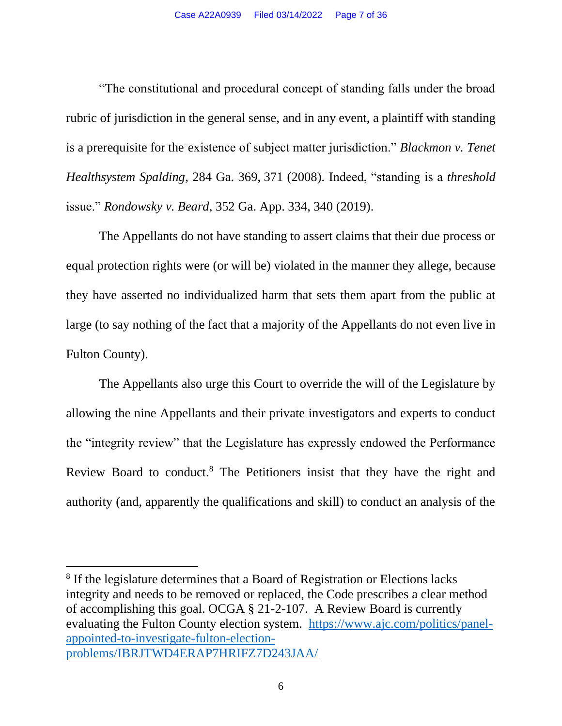"The constitutional and procedural concept of standing falls under the broad rubric of jurisdiction in the general sense, and in any event, a plaintiff with standing is a prerequisite for the existence of subject matter jurisdiction." *[Blackmon v. Tenet](https://1.next.westlaw.com/Link/Document/FullText?findType=Y&serNum=2017103370&pubNum=0000359&originatingDoc=Iec6f7e00b27c11ea9e229b5f182c9c44&refType=RP&fi=co_pp_sp_359_371&originationContext=document&transitionType=DocumentItem&contextData=(sc.Default)&co_pp_sp_359_371)  [Healthsystem Spalding](https://1.next.westlaw.com/Link/Document/FullText?findType=Y&serNum=2017103370&pubNum=0000359&originatingDoc=Iec6f7e00b27c11ea9e229b5f182c9c44&refType=RP&fi=co_pp_sp_359_371&originationContext=document&transitionType=DocumentItem&contextData=(sc.Default)&co_pp_sp_359_371)*, 284 Ga. 369, [371 \(2008\). I](https://1.next.westlaw.com/Link/Document/FullText?findType=Y&serNum=2017103370&pubNum=0000359&originatingDoc=Iec6f7e00b27c11ea9e229b5f182c9c44&refType=RP&fi=co_pp_sp_359_371&originationContext=document&transitionType=DocumentItem&contextData=(sc.Default)&co_pp_sp_359_371)ndeed, "standing is a *threshold*  issue." *Rondowsky v. Beard*[, 352 Ga. App. 334, 340](https://1.next.westlaw.com/Link/Document/FullText?findType=Y&serNum=2049433247&pubNum=0000360&originatingDoc=Iec6f7e00b27c11ea9e229b5f182c9c44&refType=RP&fi=co_pp_sp_360_340&originationContext=document&transitionType=DocumentItem&contextData=(sc.Default)&co_pp_sp_360_340) [\(2019\).](https://1.next.westlaw.com/Link/Document/FullText?findType=Y&serNum=2049433247&pubNum=0000360&originatingDoc=Iec6f7e00b27c11ea9e229b5f182c9c44&refType=RP&fi=co_pp_sp_360_340&originationContext=document&transitionType=DocumentItem&contextData=(sc.Default)&co_pp_sp_360_340)

The Appellants do not have standing to assert claims that their due process or equal protection rights were (or will be) violated in the manner they allege, because they have asserted no individualized harm that sets them apart from the public at large (to say nothing of the fact that a majority of the Appellants do not even live in Fulton County).

The Appellants also urge this Court to override the will of the Legislature by allowing the nine Appellants and their private investigators and experts to conduct the "integrity review" that the Legislature has expressly endowed the Performance Review Board to conduct.<sup>8</sup> The Petitioners insist that they have the right and authority (and, apparently the qualifications and skill) to conduct an analysis of the

<sup>&</sup>lt;sup>8</sup> If the legislature determines that a Board of Registration or Elections lacks integrity and needs to be removed or replaced, the Code prescribes a clear method of accomplishing this goal. OCGA § 21-2-107. A Review Board is currently evaluating the Fulton County election system. [https://www.ajc.com/politics/panel](https://www.ajc.com/politics/panel-appointed-to-investigate-fulton-election-problems/IBRJTWD4ERAP7HRIFZ7D243JAA/)[appointed-to-investigate-fulton-election](https://www.ajc.com/politics/panel-appointed-to-investigate-fulton-election-problems/IBRJTWD4ERAP7HRIFZ7D243JAA/)[problems/IBRJTWD4ERAP7HRIFZ7D243JAA/](https://www.ajc.com/politics/panel-appointed-to-investigate-fulton-election-problems/IBRJTWD4ERAP7HRIFZ7D243JAA/)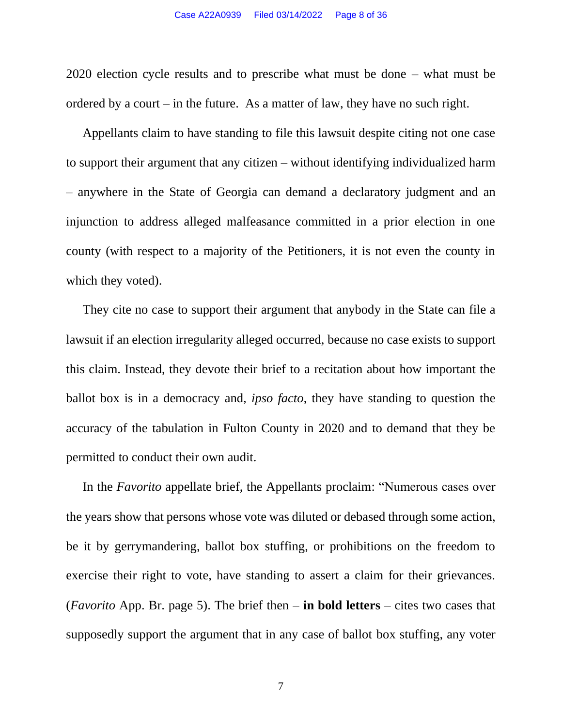2020 election cycle results and to prescribe what must be done – what must be ordered by a court – in the future. As a matter of law, they have no such right.

Appellants claim to have standing to file this lawsuit despite citing not one case to support their argument that any citizen – without identifying individualized harm – anywhere in the State of Georgia can demand a declaratory judgment and an injunction to address alleged malfeasance committed in a prior election in one county (with respect to a majority of the Petitioners, it is not even the county in which they voted).

They cite no case to support their argument that anybody in the State can file a lawsuit if an election irregularity alleged occurred, because no case exists to support this claim. Instead, they devote their brief to a recitation about how important the ballot box is in a democracy and, *ipso facto*, they have standing to question the accuracy of the tabulation in Fulton County in 2020 and to demand that they be permitted to conduct their own audit.

In the *Favorito* appellate brief, the Appellants proclaim: "Numerous cases over the years show that persons whose vote was diluted or debased through some action, be it by gerrymandering, ballot box stuffing, or prohibitions on the freedom to exercise their right to vote, have standing to assert a claim for their grievances. (*Favorito* App. Br. page 5). The brief then – **in bold letters** – cites two cases that supposedly support the argument that in any case of ballot box stuffing, any voter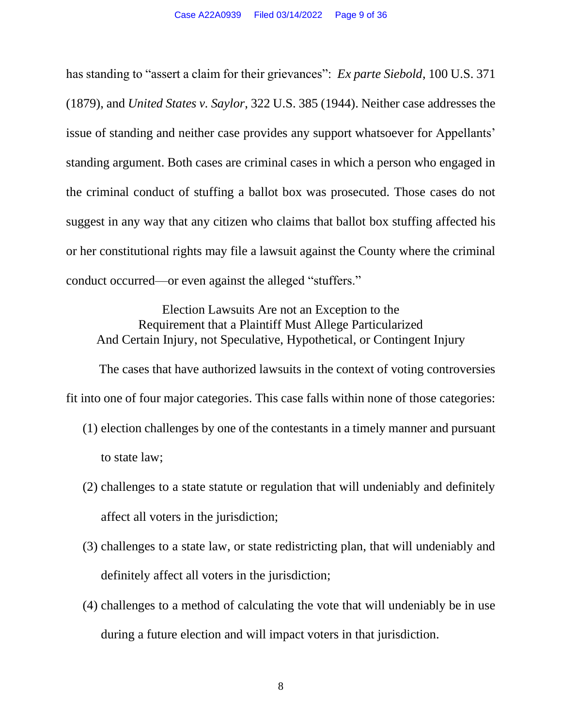has standing to "assert a claim for their grievances": *Ex parte Siebold*, 100 U.S. 371 (1879), and *United States v. Saylor*, 322 U.S. 385 (1944). Neither case addresses the issue of standing and neither case provides any support whatsoever for Appellants' standing argument. Both cases are criminal cases in which a person who engaged in the criminal conduct of stuffing a ballot box was prosecuted. Those cases do not suggest in any way that any citizen who claims that ballot box stuffing affected his or her constitutional rights may file a lawsuit against the County where the criminal conduct occurred—or even against the alleged "stuffers."

Election Lawsuits Are not an Exception to the Requirement that a Plaintiff Must Allege Particularized And Certain Injury, not Speculative, Hypothetical, or Contingent Injury

The cases that have authorized lawsuits in the context of voting controversies fit into one of four major categories. This case falls within none of those categories:

- (1) election challenges by one of the contestants in a timely manner and pursuant to state law;
- (2) challenges to a state statute or regulation that will undeniably and definitely affect all voters in the jurisdiction;
- (3) challenges to a state law, or state redistricting plan, that will undeniably and definitely affect all voters in the jurisdiction;
- (4) challenges to a method of calculating the vote that will undeniably be in use during a future election and will impact voters in that jurisdiction.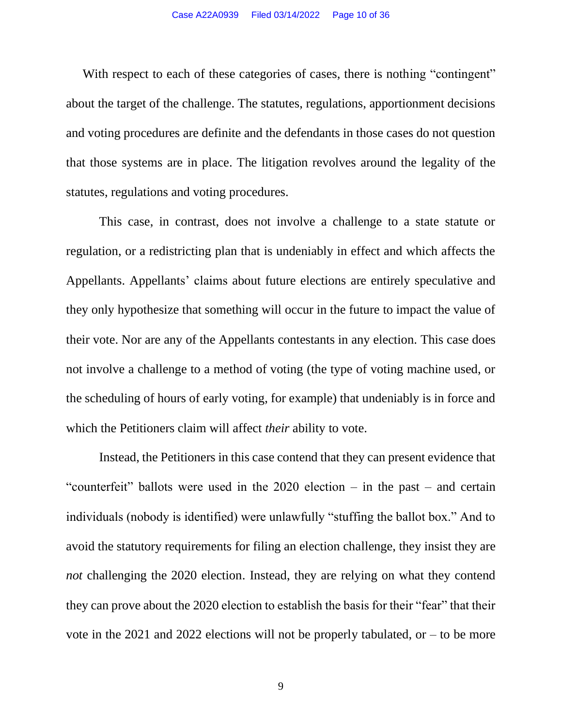With respect to each of these categories of cases, there is nothing "contingent" about the target of the challenge. The statutes, regulations, apportionment decisions and voting procedures are definite and the defendants in those cases do not question that those systems are in place. The litigation revolves around the legality of the statutes, regulations and voting procedures.

This case, in contrast, does not involve a challenge to a state statute or regulation, or a redistricting plan that is undeniably in effect and which affects the Appellants. Appellants' claims about future elections are entirely speculative and they only hypothesize that something will occur in the future to impact the value of their vote. Nor are any of the Appellants contestants in any election. This case does not involve a challenge to a method of voting (the type of voting machine used, or the scheduling of hours of early voting, for example) that undeniably is in force and which the Petitioners claim will affect *their* ability to vote.

Instead, the Petitioners in this case contend that they can present evidence that "counterfeit" ballots were used in the 2020 election – in the past – and certain individuals (nobody is identified) were unlawfully "stuffing the ballot box." And to avoid the statutory requirements for filing an election challenge, they insist they are *not* challenging the 2020 election. Instead, they are relying on what they contend they can prove about the 2020 election to establish the basis for their "fear" that their vote in the 2021 and 2022 elections will not be properly tabulated, or – to be more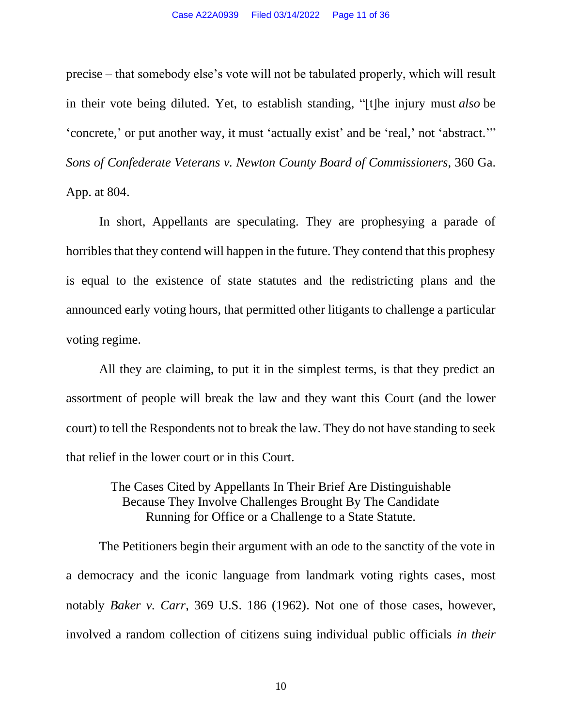precise – that somebody else's vote will not be tabulated properly, which will result in their vote being diluted. Yet, to establish standing, "[t]he injury must *also* be 'concrete,' or put another way, it must 'actually exist' and be 'real,' not 'abstract.'" *Sons of Confederate Veterans v. Newton County Board of Commissioners*, 360 Ga. App. at 804.

In short, Appellants are speculating. They are prophesying a parade of horribles that they contend will happen in the future. They contend that this prophesy is equal to the existence of state statutes and the redistricting plans and the announced early voting hours, that permitted other litigants to challenge a particular voting regime.

All they are claiming, to put it in the simplest terms, is that they predict an assortment of people will break the law and they want this Court (and the lower court) to tell the Respondents not to break the law. They do not have standing to seek that relief in the lower court or in this Court.

> The Cases Cited by Appellants In Their Brief Are Distinguishable Because They Involve Challenges Brought By The Candidate Running for Office or a Challenge to a State Statute.

The Petitioners begin their argument with an ode to the sanctity of the vote in a democracy and the iconic language from landmark voting rights cases, most notably *Baker v. Carr*, 369 U.S. 186 (1962). Not one of those cases, however, involved a random collection of citizens suing individual public officials *in their* 

10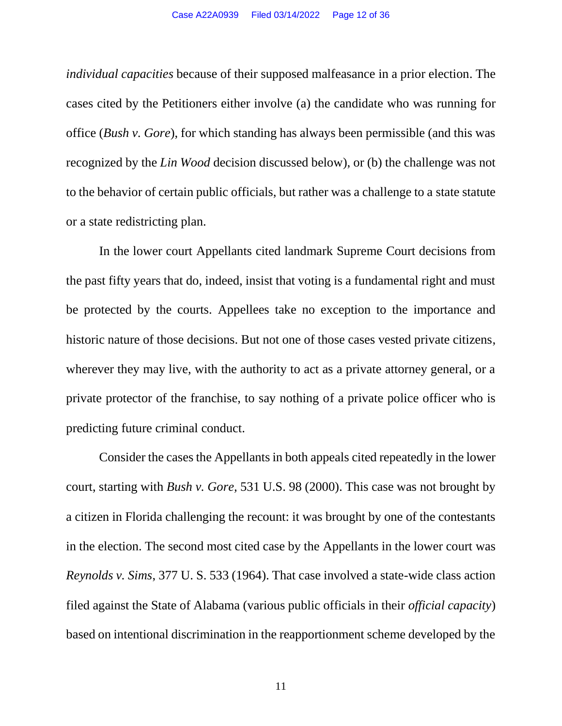*individual capacities* because of their supposed malfeasance in a prior election. The cases cited by the Petitioners either involve (a) the candidate who was running for office (*Bush v. Gore*), for which standing has always been permissible (and this was recognized by the *Lin Wood* decision discussed below), or (b) the challenge was not to the behavior of certain public officials, but rather was a challenge to a state statute or a state redistricting plan.

In the lower court Appellants cited landmark Supreme Court decisions from the past fifty years that do, indeed, insist that voting is a fundamental right and must be protected by the courts. Appellees take no exception to the importance and historic nature of those decisions. But not one of those cases vested private citizens, wherever they may live, with the authority to act as a private attorney general, or a private protector of the franchise, to say nothing of a private police officer who is predicting future criminal conduct.

Consider the cases the Appellants in both appeals cited repeatedly in the lower court, starting with *Bush v. Gore,* 531 U.S. 98 (2000). This case was not brought by a citizen in Florida challenging the recount: it was brought by one of the contestants in the election. The second most cited case by the Appellants in the lower court was *Reynolds v. Sims*, 377 U. S. 533 (1964). That case involved a state-wide class action filed against the State of Alabama (various public officials in their *official capacity*) based on intentional discrimination in the reapportionment scheme developed by the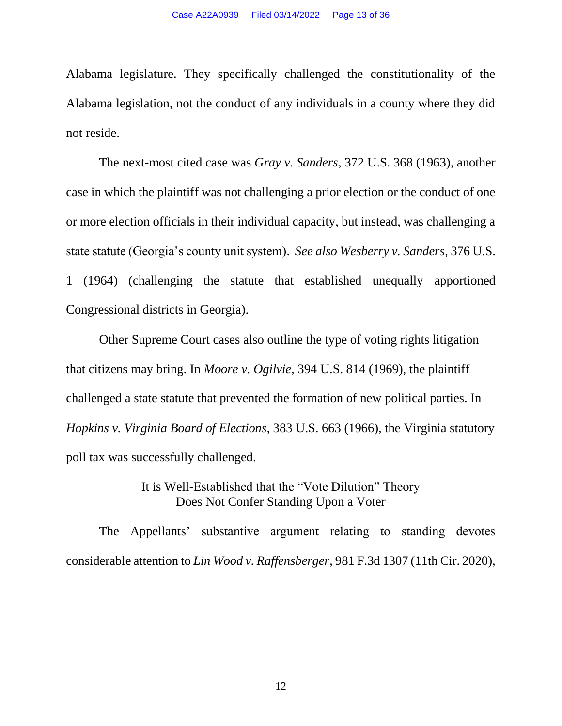Alabama legislature. They specifically challenged the constitutionality of the Alabama legislation, not the conduct of any individuals in a county where they did not reside.

The next-most cited case was *Gray v. Sanders*, 372 U.S. 368 (1963), another case in which the plaintiff was not challenging a prior election or the conduct of one or more election officials in their individual capacity, but instead, was challenging a state statute (Georgia's county unit system). *See also Wesberry v. Sanders*, 376 U.S. 1 (1964) (challenging the statute that established unequally apportioned Congressional districts in Georgia).

Other Supreme Court cases also outline the type of voting rights litigation that citizens may bring. In *Moore v. Ogilvie*, 394 U.S. 814 (1969), the plaintiff challenged a state statute that prevented the formation of new political parties. In *Hopkins v. Virginia Board of Elections*, 383 U.S. 663 (1966), the Virginia statutory poll tax was successfully challenged.

> It is Well-Established that the "Vote Dilution" Theory Does Not Confer Standing Upon a Voter

The Appellants' substantive argument relating to standing devotes considerable attention to *Lin Wood v. Raffensberger*, 981 F.3d 1307 (11th Cir. 2020),

12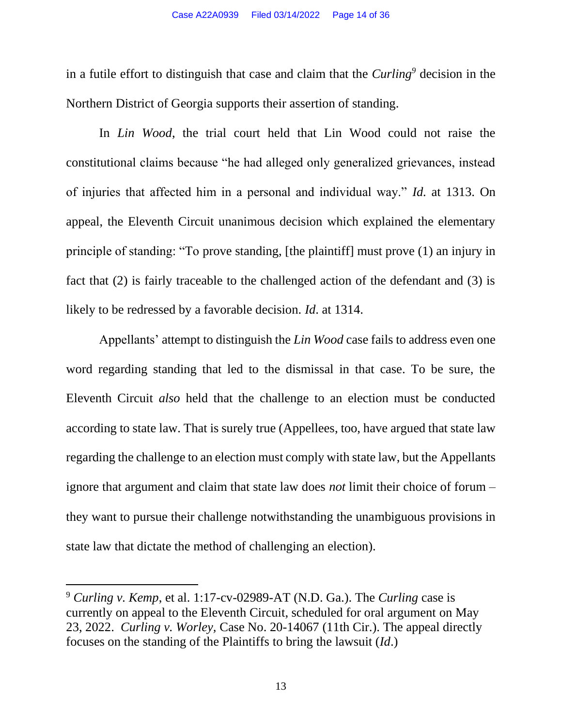in a futile effort to distinguish that case and claim that the *Curling<sup>9</sup>* decision in the Northern District of Georgia supports their assertion of standing.

In *Lin Wood*, the trial court held that Lin Wood could not raise the constitutional claims because "he had alleged only generalized grievances, instead of injuries that affected him in a personal and individual way." *Id.* at 1313. On appeal, the Eleventh Circuit unanimous decision which explained the elementary principle of standing: "To prove standing, [the plaintiff] must prove (1) an injury in fact that (2) is fairly traceable to the challenged action of the defendant and (3) is likely to be redressed by a favorable decision. *Id*. at 1314.

Appellants' attempt to distinguish the *Lin Wood* case fails to address even one word regarding standing that led to the dismissal in that case. To be sure, the Eleventh Circuit *also* held that the challenge to an election must be conducted according to state law. That is surely true (Appellees, too, have argued that state law regarding the challenge to an election must comply with state law, but the Appellants ignore that argument and claim that state law does *not* limit their choice of forum – they want to pursue their challenge notwithstanding the unambiguous provisions in state law that dictate the method of challenging an election).

<sup>9</sup> *Curling v. Kemp*, et al. 1:17-cv-02989-AT (N.D. Ga.). The *Curling* case is currently on appeal to the Eleventh Circuit, scheduled for oral argument on May 23, 2022. *Curling v. Worley,* Case No. 20-14067 (11th Cir.). The appeal directly focuses on the standing of the Plaintiffs to bring the lawsuit (*Id*.)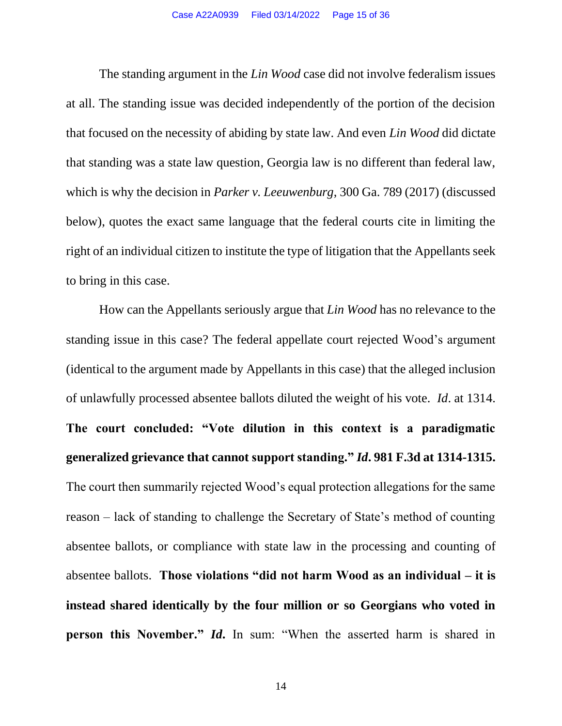The standing argument in the *Lin Wood* case did not involve federalism issues at all. The standing issue was decided independently of the portion of the decision that focused on the necessity of abiding by state law. And even *Lin Wood* did dictate that standing was a state law question, Georgia law is no different than federal law, which is why the decision in *Parker v. Leeuwenburg*, 300 Ga. 789 (2017) (discussed below), quotes the exact same language that the federal courts cite in limiting the right of an individual citizen to institute the type of litigation that the Appellants seek to bring in this case.

How can the Appellants seriously argue that *Lin Wood* has no relevance to the standing issue in this case? The federal appellate court rejected Wood's argument (identical to the argument made by Appellants in this case) that the alleged inclusion of unlawfully processed absentee ballots diluted the weight of his vote. *Id*. at 1314. **The court concluded: "Vote dilution in this context is a paradigmatic generalized grievance that cannot support standing."** *Id***. 981 F.3d at 1314-1315.** The court then summarily rejected Wood's equal protection allegations for the same reason – lack of standing to challenge the Secretary of State's method of counting absentee ballots, or compliance with state law in the processing and counting of absentee ballots. **Those violations "did not harm Wood as an individual – it is instead shared identically by the four million or so Georgians who voted in person this November."** *Id***.** In sum: "When the asserted harm is shared in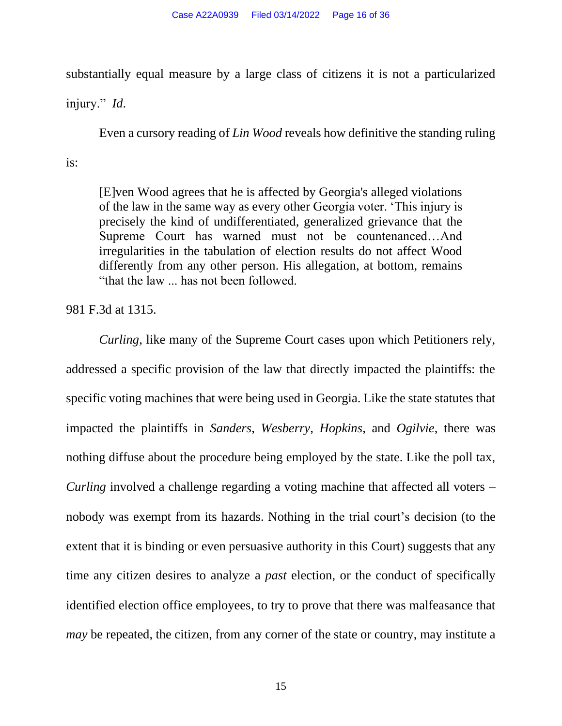substantially equal measure by a large class of citizens it is not a particularized

injury." *Id*.

Even a cursory reading of *Lin Wood* reveals how definitive the standing ruling is:

[E]ven Wood agrees that he is affected by Georgia's alleged violations of the law in the same way as every other Georgia voter. 'This injury is precisely the kind of undifferentiated, generalized grievance that the Supreme Court has warned must not be countenanced…And irregularities in the tabulation of election results do not affect Wood differently from any other person. His allegation, at bottom, remains "that the law ... has not been followed.

981 F.3d at 1315.

*Curling*, like many of the Supreme Court cases upon which Petitioners rely, addressed a specific provision of the law that directly impacted the plaintiffs: the specific voting machines that were being used in Georgia. Like the state statutes that impacted the plaintiffs in *Sanders*, *Wesberry*, *Hopkins,* and *Ogilvie*, there was nothing diffuse about the procedure being employed by the state. Like the poll tax, *Curling* involved a challenge regarding a voting machine that affected all voters – nobody was exempt from its hazards. Nothing in the trial court's decision (to the extent that it is binding or even persuasive authority in this Court) suggests that any time any citizen desires to analyze a *past* election, or the conduct of specifically identified election office employees, to try to prove that there was malfeasance that *may* be repeated, the citizen, from any corner of the state or country, may institute a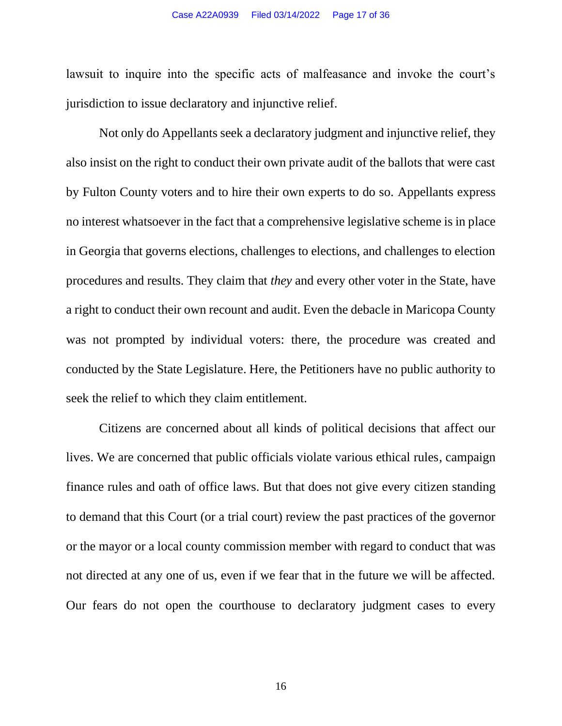lawsuit to inquire into the specific acts of malfeasance and invoke the court's jurisdiction to issue declaratory and injunctive relief.

Not only do Appellants seek a declaratory judgment and injunctive relief, they also insist on the right to conduct their own private audit of the ballots that were cast by Fulton County voters and to hire their own experts to do so. Appellants express no interest whatsoever in the fact that a comprehensive legislative scheme is in place in Georgia that governs elections, challenges to elections, and challenges to election procedures and results. They claim that *they* and every other voter in the State, have a right to conduct their own recount and audit. Even the debacle in Maricopa County was not prompted by individual voters: there, the procedure was created and conducted by the State Legislature. Here, the Petitioners have no public authority to seek the relief to which they claim entitlement.

Citizens are concerned about all kinds of political decisions that affect our lives. We are concerned that public officials violate various ethical rules, campaign finance rules and oath of office laws. But that does not give every citizen standing to demand that this Court (or a trial court) review the past practices of the governor or the mayor or a local county commission member with regard to conduct that was not directed at any one of us, even if we fear that in the future we will be affected. Our fears do not open the courthouse to declaratory judgment cases to every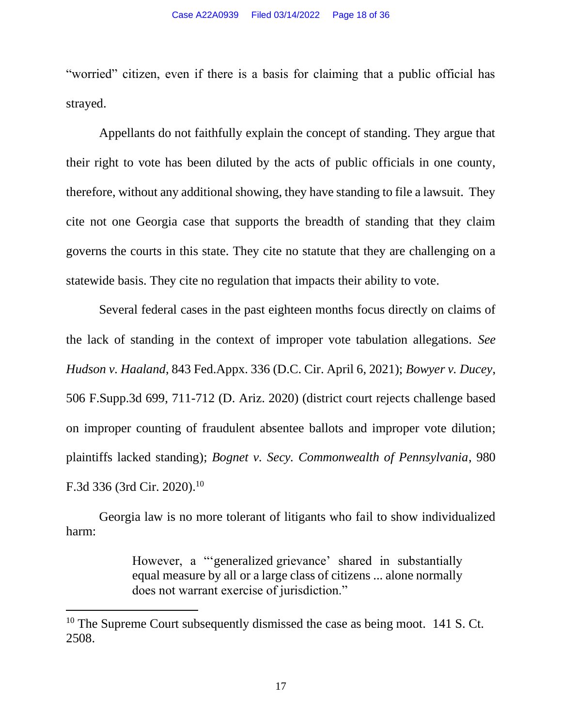"worried" citizen, even if there is a basis for claiming that a public official has strayed.

Appellants do not faithfully explain the concept of standing. They argue that their right to vote has been diluted by the acts of public officials in one county, therefore, without any additional showing, they have standing to file a lawsuit. They cite not one Georgia case that supports the breadth of standing that they claim governs the courts in this state. They cite no statute that they are challenging on a statewide basis. They cite no regulation that impacts their ability to vote.

Several federal cases in the past eighteen months focus directly on claims of the lack of standing in the context of improper vote tabulation allegations. *See Hudson v. Haaland*, 843 Fed.Appx. 336 (D.C. Cir. April 6, 2021); *Bowyer v. Ducey*, 506 F.Supp.3d 699, 711-712 (D. Ariz. 2020) (district court rejects challenge based on improper counting of fraudulent absentee ballots and improper vote dilution; plaintiffs lacked standing); *Bognet v. Secy. Commonwealth of Pennsylvania*, 980 F.3d 336 (3rd Cir. 2020).<sup>10</sup>

Georgia law is no more tolerant of litigants who fail to show individualized harm:

> However, a "'generalized grievance' shared in substantially equal measure by all or a large class of citizens ... alone normally does not warrant exercise of jurisdiction."

<sup>&</sup>lt;sup>10</sup> The Supreme Court subsequently dismissed the case as being moot. 141 S. Ct. 2508.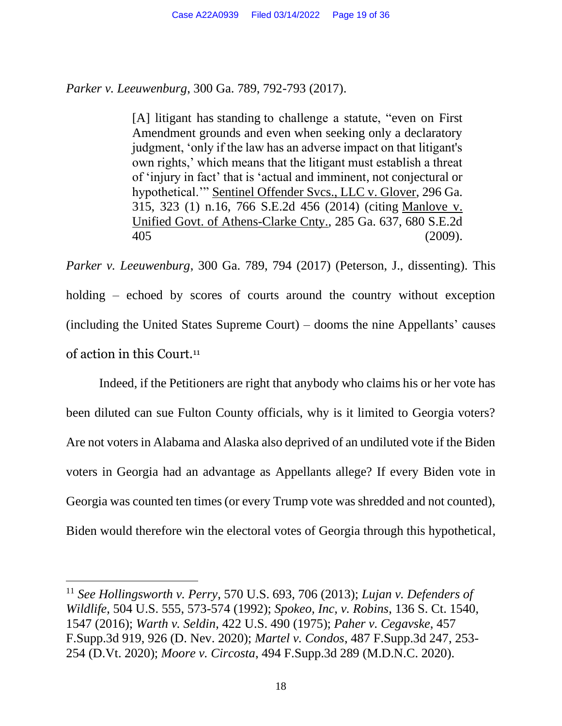*Parker v. Leeuwenburg*, 300 Ga. 789, 792-793 (2017).

[A] litigant has standing to challenge a statute, "even on First Amendment grounds and even when seeking only a declaratory judgment, 'only if the law has an adverse impact on that litigant's own rights,' which means that the litigant must establish a threat of 'injury in fact' that is 'actual and imminent, not conjectural or hypothetical.'" Sentinel Offender Svcs., LLC v. Glover, 296 Ga. 315, 323 (1) n.16, 766 S.E.2d 456 (2014) (citing Manlove v. Unified Govt. of Athens-Clarke Cnty., 285 Ga. 637, 680 S.E.2d 405 (2009).

*Parker v. Leeuwenburg*, 300 Ga. 789, 794 (2017) (Peterson, J., dissenting). This holding – echoed by scores of courts around the country without exception (including the United States Supreme Court) – dooms the nine Appellants' causes of action in this Court.<sup>11</sup>

Indeed, if the Petitioners are right that anybody who claims his or her vote has been diluted can sue Fulton County officials, why is it limited to Georgia voters? Are not voters in Alabama and Alaska also deprived of an undiluted vote if the Biden voters in Georgia had an advantage as Appellants allege? If every Biden vote in Georgia was counted ten times (or every Trump vote was shredded and not counted), Biden would therefore win the electoral votes of Georgia through this hypothetical,

<sup>11</sup> *See Hollingsworth v. Perry*, 570 U.S. 693, 706 (2013); *Lujan v. Defenders of Wildlife*, 504 U.S. 555, 573-574 (1992); *Spokeo, Inc, v. Robins*, 136 S. Ct. 1540, 1547 (2016); *Warth v. Seldin*, 422 U.S. 490 (1975); *Paher v. Cegavske*, 457 F.Supp.3d 919, 926 (D. Nev. 2020); *Martel v. Condos*, 487 F.Supp.3d 247, 253- 254 (D.Vt. 2020); *Moore v. Circosta*, 494 F.Supp.3d 289 (M.D.N.C. 2020).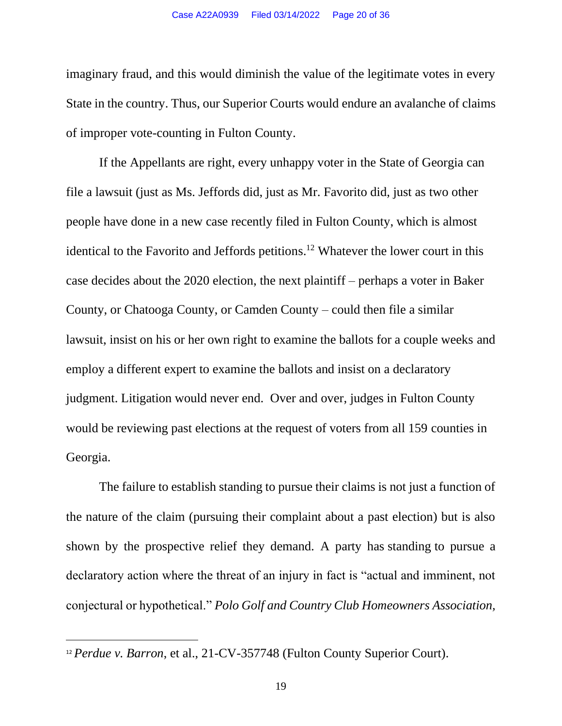imaginary fraud, and this would diminish the value of the legitimate votes in every State in the country. Thus, our Superior Courts would endure an avalanche of claims of improper vote-counting in Fulton County.

If the Appellants are right, every unhappy voter in the State of Georgia can file a lawsuit (just as Ms. Jeffords did, just as Mr. Favorito did, just as two other people have done in a new case recently filed in Fulton County, which is almost identical to the Favorito and Jeffords petitions. <sup>12</sup> Whatever the lower court in this case decides about the 2020 election, the next plaintiff – perhaps a voter in Baker County, or Chatooga County, or Camden County – could then file a similar lawsuit, insist on his or her own right to examine the ballots for a couple weeks and employ a different expert to examine the ballots and insist on a declaratory judgment. Litigation would never end. Over and over, judges in Fulton County would be reviewing past elections at the request of voters from all 159 counties in Georgia.

The failure to establish standing to pursue their claims is not just a function of the nature of the claim (pursuing their complaint about a past election) but is also shown by the prospective relief they demand. A party has standing to pursue a declaratory action where the threat of an injury in fact is "actual and imminent, not conjectural or hypothetical." *Polo Golf and Country Club Homeowners Association,* 

<sup>&</sup>lt;sup>12</sup> *Perdue v. Barron*, et al., 21-CV-357748 (Fulton County Superior Court).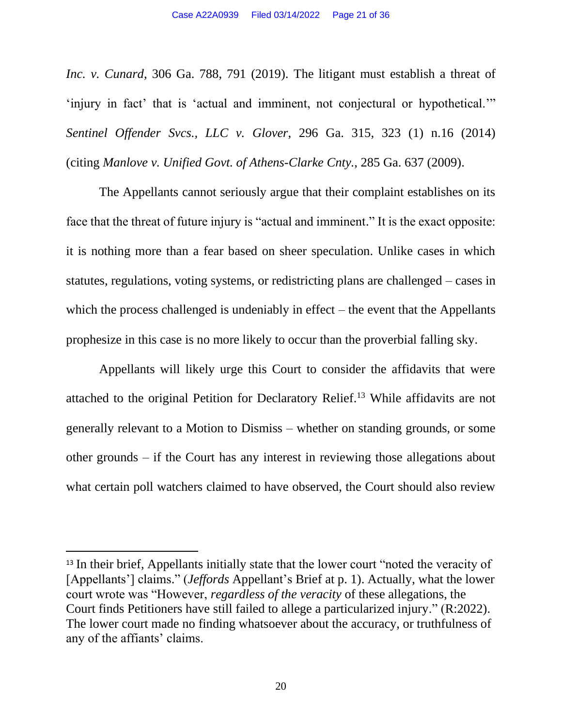*Inc. v. Cunard*, 306 Ga. 788, 791 (2019). The litigant must establish a threat of 'injury in fact' that is 'actual and imminent, not conjectural or hypothetical.'" *Sentinel Offender Svcs., LLC v. Glover*, 296 Ga. 315, 323 (1) n.16 (2014) (citing *Manlove v. Unified Govt. of Athens-Clarke Cnty.*, 285 Ga. 637 (2009).

The Appellants cannot seriously argue that their complaint establishes on its face that the threat of future injury is "actual and imminent." It is the exact opposite: it is nothing more than a fear based on sheer speculation. Unlike cases in which statutes, regulations, voting systems, or redistricting plans are challenged – cases in which the process challenged is undeniably in effect – the event that the Appellants prophesize in this case is no more likely to occur than the proverbial falling sky.

Appellants will likely urge this Court to consider the affidavits that were attached to the original Petition for Declaratory Relief.<sup>13</sup> While affidavits are not generally relevant to a Motion to Dismiss – whether on standing grounds, or some other grounds – if the Court has any interest in reviewing those allegations about what certain poll watchers claimed to have observed, the Court should also review

<sup>&</sup>lt;sup>13</sup> In their brief, Appellants initially state that the lower court "noted the veracity of [Appellants'] claims." (*Jeffords* Appellant's Brief at p. 1). Actually, what the lower court wrote was "However, *regardless of the veracity* of these allegations, the Court finds Petitioners have still failed to allege a particularized injury." (R:2022). The lower court made no finding whatsoever about the accuracy, or truthfulness of any of the affiants' claims.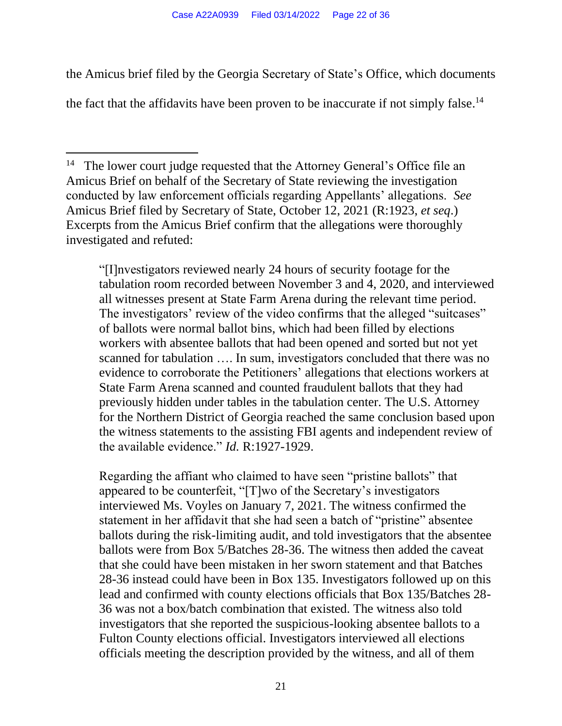the Amicus brief filed by the Georgia Secretary of State's Office, which documents the fact that the affidavits have been proven to be inaccurate if not simply false.<sup>14</sup>

"[I]nvestigators reviewed nearly 24 hours of security footage for the tabulation room recorded between November 3 and 4, 2020, and interviewed all witnesses present at State Farm Arena during the relevant time period. The investigators' review of the video confirms that the alleged "suitcases" of ballots were normal ballot bins, which had been filled by elections workers with absentee ballots that had been opened and sorted but not yet scanned for tabulation …. In sum, investigators concluded that there was no evidence to corroborate the Petitioners' allegations that elections workers at State Farm Arena scanned and counted fraudulent ballots that they had previously hidden under tables in the tabulation center. The U.S. Attorney for the Northern District of Georgia reached the same conclusion based upon the witness statements to the assisting FBI agents and independent review of the available evidence." *Id.* R:1927-1929.

Regarding the affiant who claimed to have seen "pristine ballots" that appeared to be counterfeit, "[T]wo of the Secretary's investigators interviewed Ms. Voyles on January 7, 2021. The witness confirmed the statement in her affidavit that she had seen a batch of "pristine" absentee ballots during the risk-limiting audit, and told investigators that the absentee ballots were from Box 5/Batches 28-36. The witness then added the caveat that she could have been mistaken in her sworn statement and that Batches 28-36 instead could have been in Box 135. Investigators followed up on this lead and confirmed with county elections officials that Box 135/Batches 28- 36 was not a box/batch combination that existed. The witness also told investigators that she reported the suspicious-looking absentee ballots to a Fulton County elections official. Investigators interviewed all elections officials meeting the description provided by the witness, and all of them

<sup>14</sup> The lower court judge requested that the Attorney General's Office file an Amicus Brief on behalf of the Secretary of State reviewing the investigation conducted by law enforcement officials regarding Appellants' allegations. *See* Amicus Brief filed by Secretary of State, October 12, 2021 (R:1923, *et seq*.) Excerpts from the Amicus Brief confirm that the allegations were thoroughly investigated and refuted: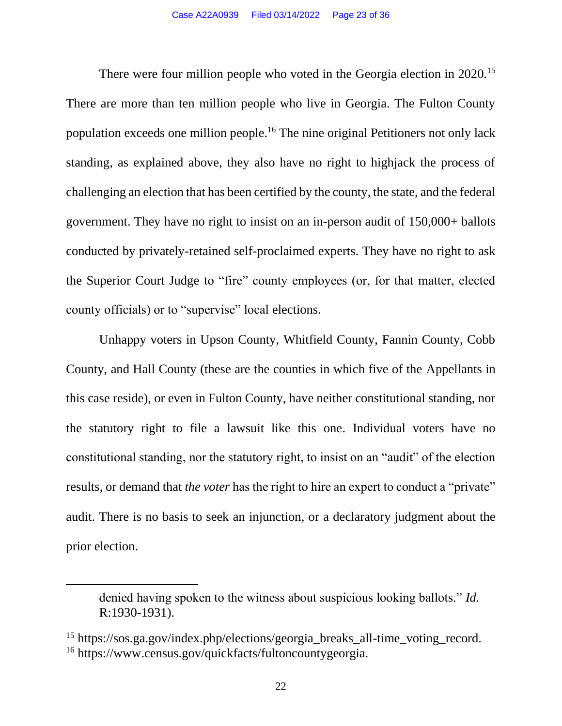There were four million people who voted in the Georgia election in 2020.<sup>15</sup> There are more than ten million people who live in Georgia. The Fulton County population exceeds one million people.<sup>16</sup> The nine original Petitioners not only lack standing, as explained above, they also have no right to highjack the process of challenging an election that has been certified by the county, the state, and the federal government. They have no right to insist on an in-person audit of 150,000+ ballots conducted by privately-retained self-proclaimed experts. They have no right to ask the Superior Court Judge to "fire" county employees (or, for that matter, elected county officials) or to "supervise" local elections.

Unhappy voters in Upson County, Whitfield County, Fannin County, Cobb County, and Hall County (these are the counties in which five of the Appellants in this case reside), or even in Fulton County, have neither constitutional standing, nor the statutory right to file a lawsuit like this one. Individual voters have no constitutional standing, nor the statutory right, to insist on an "audit" of the election results, or demand that *the voter* has the right to hire an expert to conduct a "private" audit. There is no basis to seek an injunction, or a declaratory judgment about the prior election.

denied having spoken to the witness about suspicious looking ballots." *Id.*  R:1930-1931).

<sup>15</sup> https://sos.ga.gov/index.php/elections/georgia\_breaks\_all-time\_voting\_record. <sup>16</sup> https://www.census.gov/quickfacts/fultoncountygeorgia.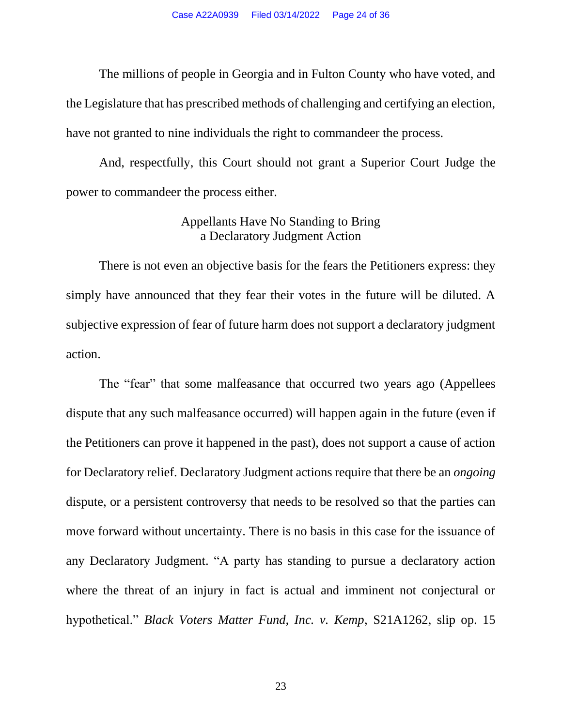The millions of people in Georgia and in Fulton County who have voted, and the Legislature that has prescribed methods of challenging and certifying an election, have not granted to nine individuals the right to commandeer the process.

And, respectfully, this Court should not grant a Superior Court Judge the power to commandeer the process either.

### Appellants Have No Standing to Bring a Declaratory Judgment Action

There is not even an objective basis for the fears the Petitioners express: they simply have announced that they fear their votes in the future will be diluted. A subjective expression of fear of future harm does not support a declaratory judgment action.

The "fear" that some malfeasance that occurred two years ago (Appellees dispute that any such malfeasance occurred) will happen again in the future (even if the Petitioners can prove it happened in the past), does not support a cause of action for Declaratory relief. Declaratory Judgment actions require that there be an *ongoing* dispute, or a persistent controversy that needs to be resolved so that the parties can move forward without uncertainty. There is no basis in this case for the issuance of any Declaratory Judgment. "A party has standing to pursue a declaratory action where the threat of an injury in fact is actual and imminent not conjectural or hypothetical." *Black Voters Matter Fund, Inc. v. Kemp*, S21A1262, slip op. 15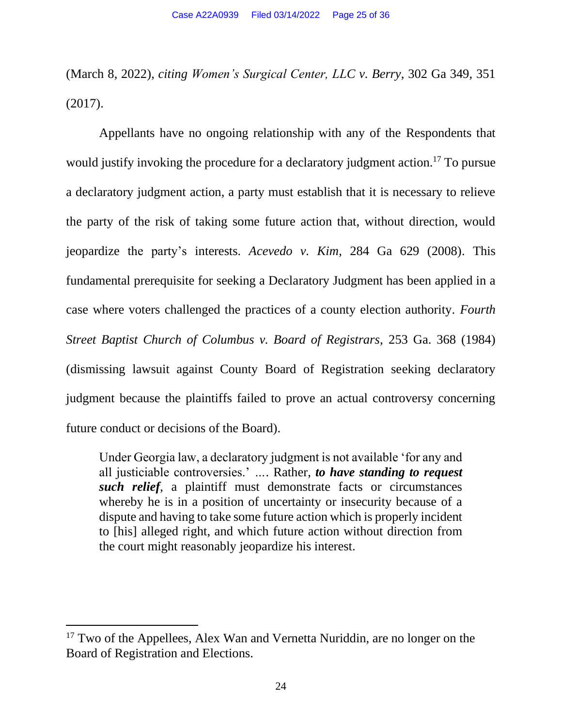(March 8, 2022), *citing Women's Surgical Center, LLC v. Berry*, 302 Ga 349, 351 (2017).

Appellants have no ongoing relationship with any of the Respondents that would justify invoking the procedure for a declaratory judgment action.<sup>17</sup> To pursue a declaratory judgment action, a party must establish that it is necessary to relieve the party of the risk of taking some future action that, without direction, would jeopardize the party's interests. *Acevedo v. Kim*, 284 Ga 629 (2008). This fundamental prerequisite for seeking a Declaratory Judgment has been applied in a case where voters challenged the practices of a county election authority. *Fourth Street Baptist Church of Columbus v. Board of Registrars,* 253 Ga. 368 (1984) (dismissing lawsuit against County Board of Registration seeking declaratory judgment because the plaintiffs failed to prove an actual controversy concerning future conduct or decisions of the Board).

Under Georgia law, a declaratory judgment is not available 'for any and all justiciable controversies.' *…*. Rather, *to have standing to request such relief*, a plaintiff must demonstrate facts or circumstances whereby he is in a position of uncertainty or insecurity because of a dispute and having to take some future action which is properly incident to [his] alleged right, and which future action without direction from the court might reasonably jeopardize his interest.

<sup>&</sup>lt;sup>17</sup> Two of the Appellees, Alex Wan and Vernetta Nuriddin, are no longer on the Board of Registration and Elections.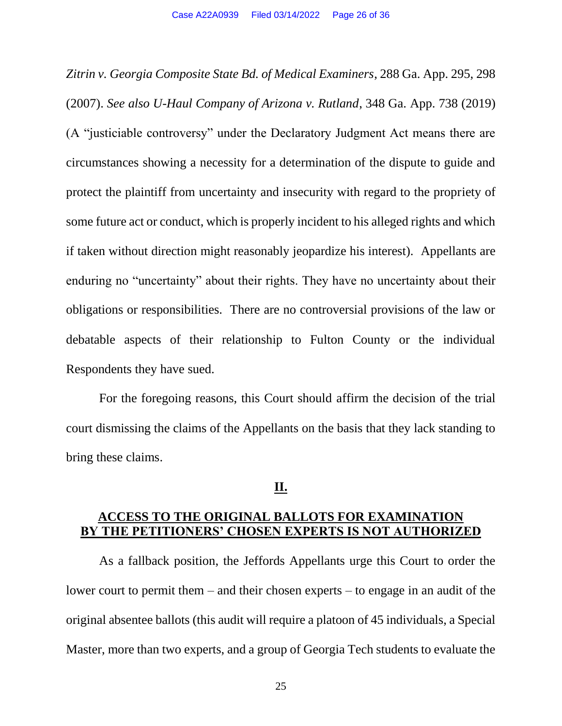*Zitrin v. Georgia Composite State Bd. of Medical Examiners*, 288 Ga. App. 295, 298 (2007). *See also U-Haul Company of Arizona v. Rutland*, 348 Ga. App. 738 (2019) (A "justiciable controversy" under the Declaratory Judgment Act means there are circumstances showing a necessity for a determination of the dispute to guide and protect the plaintiff from uncertainty and insecurity with regard to the propriety of some future act or conduct, which is properly incident to his alleged rights and which if taken without direction might reasonably jeopardize his interest). Appellants are enduring no "uncertainty" about their rights. They have no uncertainty about their obligations or responsibilities. There are no controversial provisions of the law or debatable aspects of their relationship to Fulton County or the individual Respondents they have sued.

For the foregoing reasons, this Court should affirm the decision of the trial court dismissing the claims of the Appellants on the basis that they lack standing to bring these claims.

#### **II.**

## **ACCESS TO THE ORIGINAL BALLOTS FOR EXAMINATION BY THE PETITIONERS' CHOSEN EXPERTS IS NOT AUTHORIZED**

As a fallback position, the Jeffords Appellants urge this Court to order the lower court to permit them – and their chosen experts – to engage in an audit of the original absentee ballots (this audit will require a platoon of 45 individuals, a Special Master, more than two experts, and a group of Georgia Tech students to evaluate the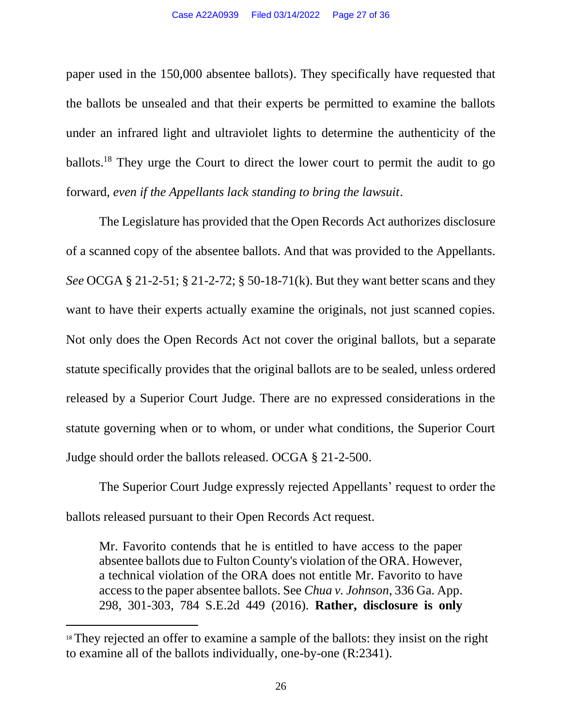paper used in the 150,000 absentee ballots). They specifically have requested that the ballots be unsealed and that their experts be permitted to examine the ballots under an infrared light and ultraviolet lights to determine the authenticity of the ballots.<sup>18</sup> They urge the Court to direct the lower court to permit the audit to go forward, *even if the Appellants lack standing to bring the lawsuit*.

The Legislature has provided that the Open Records Act authorizes disclosure of a scanned copy of the absentee ballots. And that was provided to the Appellants. *See* OCGA § 21-2-51; § 21-2-72; § 50-18-71(k). But they want better scans and they want to have their experts actually examine the originals, not just scanned copies. Not only does the Open Records Act not cover the original ballots, but a separate statute specifically provides that the original ballots are to be sealed, unless ordered released by a Superior Court Judge. There are no expressed considerations in the statute governing when or to whom, or under what conditions, the Superior Court Judge should order the ballots released. OCGA § 21-2-500.

The Superior Court Judge expressly rejected Appellants' request to order the ballots released pursuant to their Open Records Act request.

Mr. Favorito contends that he is entitled to have access to the paper absentee ballots due to Fulton County's violation of the ORA. However, a technical violation of the ORA does not entitle Mr. Favorito to have access to the paper absentee ballots. See *Chua v. Johnson*, 336 Ga. App. 298, 301-303, 784 S.E.2d 449 (2016). **Rather, disclosure is only** 

<sup>&</sup>lt;sup>18</sup> They rejected an offer to examine a sample of the ballots: they insist on the right to examine all of the ballots individually, one-by-one (R:2341).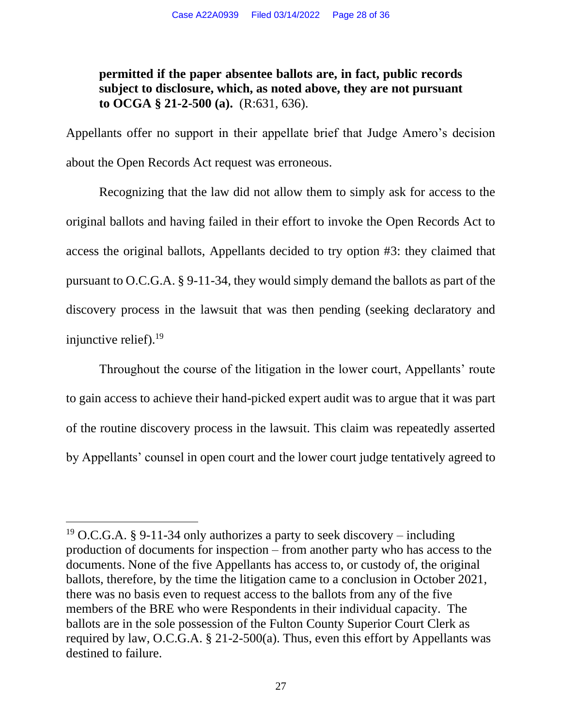## **permitted if the paper absentee ballots are, in fact, public records subject to disclosure, which, as noted above, they are not pursuant to OCGA § 21-2-500 (a).** (R:631, 636).

Appellants offer no support in their appellate brief that Judge Amero's decision about the Open Records Act request was erroneous.

Recognizing that the law did not allow them to simply ask for access to the original ballots and having failed in their effort to invoke the Open Records Act to access the original ballots, Appellants decided to try option #3: they claimed that pursuant to O.C.G.A. § 9-11-34, they would simply demand the ballots as part of the discovery process in the lawsuit that was then pending (seeking declaratory and injunctive relief).<sup>19</sup>

Throughout the course of the litigation in the lower court, Appellants' route to gain access to achieve their hand-picked expert audit was to argue that it was part of the routine discovery process in the lawsuit. This claim was repeatedly asserted by Appellants' counsel in open court and the lower court judge tentatively agreed to

<sup>&</sup>lt;sup>19</sup> O.C.G.A. § 9-11-34 only authorizes a party to seek discovery – including production of documents for inspection – from another party who has access to the documents. None of the five Appellants has access to, or custody of, the original ballots, therefore, by the time the litigation came to a conclusion in October 2021, there was no basis even to request access to the ballots from any of the five members of the BRE who were Respondents in their individual capacity. The ballots are in the sole possession of the Fulton County Superior Court Clerk as required by law, O.C.G.A. § 21-2-500(a). Thus, even this effort by Appellants was destined to failure.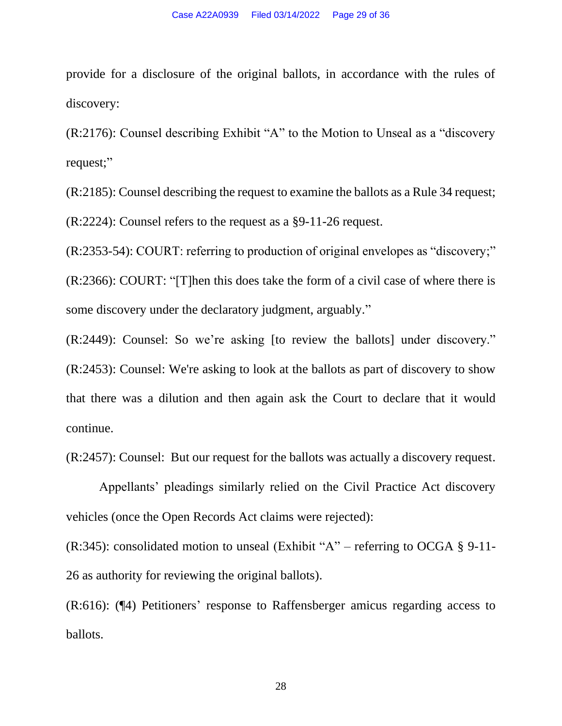provide for a disclosure of the original ballots, in accordance with the rules of discovery:

(R:2176): Counsel describing Exhibit "A" to the Motion to Unseal as a "discovery request;"

(R:2185): Counsel describing the request to examine the ballots as a Rule 34 request; (R:2224): Counsel refers to the request as a §9-11-26 request.

(R:2353-54): COURT: referring to production of original envelopes as "discovery;" (R:2366): COURT: "[T]hen this does take the form of a civil case of where there is some discovery under the declaratory judgment, arguably."

(R:2449): Counsel: So we're asking [to review the ballots] under discovery." (R:2453): Counsel: We're asking to look at the ballots as part of discovery to show that there was a dilution and then again ask the Court to declare that it would continue.

(R:2457): Counsel: But our request for the ballots was actually a discovery request.

Appellants' pleadings similarly relied on the Civil Practice Act discovery vehicles (once the Open Records Act claims were rejected):

 $(R:345)$ : consolidated motion to unseal (Exhibit "A" – referring to OCGA § 9-11-26 as authority for reviewing the original ballots).

(R:616): (¶4) Petitioners' response to Raffensberger amicus regarding access to ballots.

28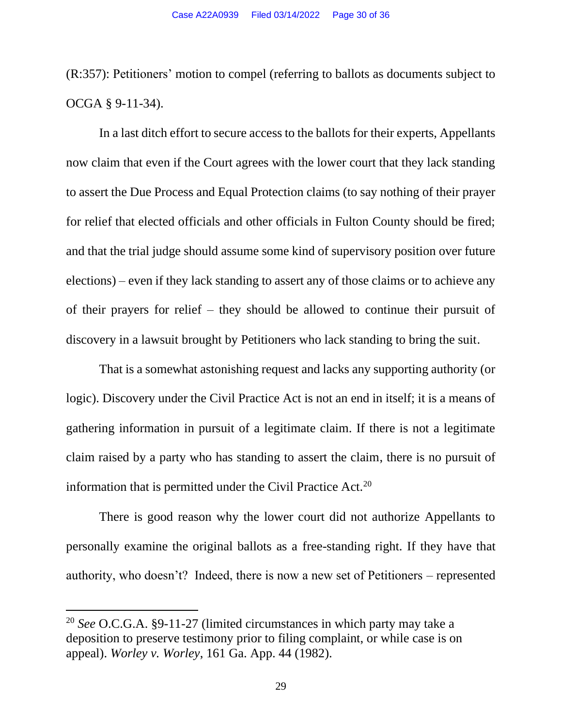(R:357): Petitioners' motion to compel (referring to ballots as documents subject to OCGA § 9-11-34).

In a last ditch effort to secure access to the ballots for their experts, Appellants now claim that even if the Court agrees with the lower court that they lack standing to assert the Due Process and Equal Protection claims (to say nothing of their prayer for relief that elected officials and other officials in Fulton County should be fired; and that the trial judge should assume some kind of supervisory position over future elections) – even if they lack standing to assert any of those claims or to achieve any of their prayers for relief – they should be allowed to continue their pursuit of discovery in a lawsuit brought by Petitioners who lack standing to bring the suit.

That is a somewhat astonishing request and lacks any supporting authority (or logic). Discovery under the Civil Practice Act is not an end in itself; it is a means of gathering information in pursuit of a legitimate claim. If there is not a legitimate claim raised by a party who has standing to assert the claim, there is no pursuit of information that is permitted under the Civil Practice Act.<sup>20</sup>

There is good reason why the lower court did not authorize Appellants to personally examine the original ballots as a free-standing right. If they have that authority, who doesn't? Indeed, there is now a new set of Petitioners – represented

<sup>20</sup> *See* O.C.G.A. §9-11-27 (limited circumstances in which party may take a deposition to preserve testimony prior to filing complaint, or while case is on appeal). *Worley v. Worley*, 161 Ga. App. 44 (1982).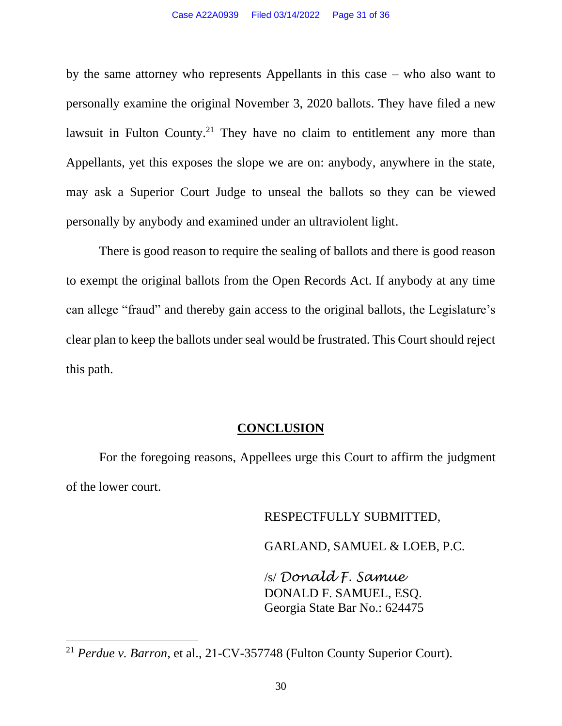by the same attorney who represents Appellants in this case – who also want to personally examine the original November 3, 2020 ballots. They have filed a new lawsuit in Fulton County.<sup>21</sup> They have no claim to entitlement any more than Appellants, yet this exposes the slope we are on: anybody, anywhere in the state, may ask a Superior Court Judge to unseal the ballots so they can be viewed personally by anybody and examined under an ultraviolent light.

There is good reason to require the sealing of ballots and there is good reason to exempt the original ballots from the Open Records Act. If anybody at any time can allege "fraud" and thereby gain access to the original ballots, the Legislature's clear plan to keep the ballots under seal would be frustrated. This Court should reject this path.

#### **CONCLUSION**

For the foregoing reasons, Appellees urge this Court to affirm the judgment of the lower court.

#### RESPECTFULLY SUBMITTED,

GARLAND, SAMUEL & LOEB, P.C.

/s/ *Donald F. Samue* DONALD F. SAMUEL, ESQ. Georgia State Bar No.: 624475

<sup>21</sup> *Perdue v. Barron*, et al., 21-CV-357748 (Fulton County Superior Court).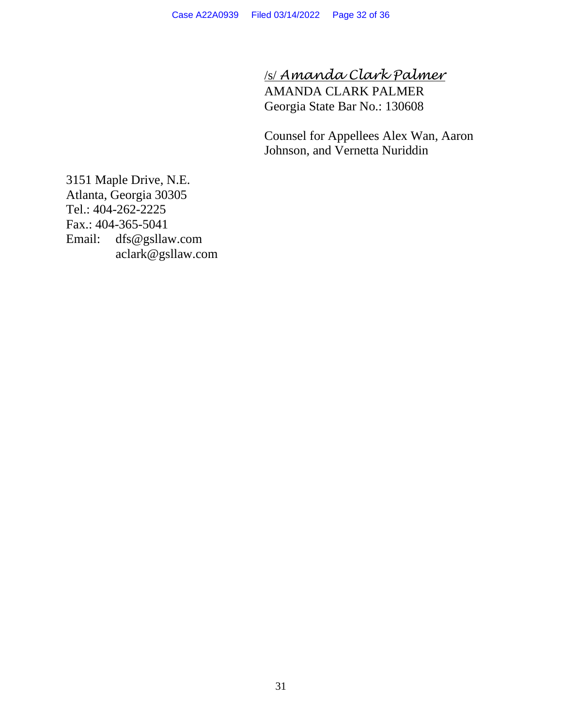/s/ *Amanda Clark Palmer* AMANDA CLARK PALMER Georgia State Bar No.: 130608

Counsel for Appellees Alex Wan, Aaron Johnson, and Vernetta Nuriddin

3151 Maple Drive, N.E. Atlanta, Georgia 30305 Tel.: 404-262-2225 Fax.: 404-365-5041 Email: dfs@gsllaw.com aclark@gsllaw.com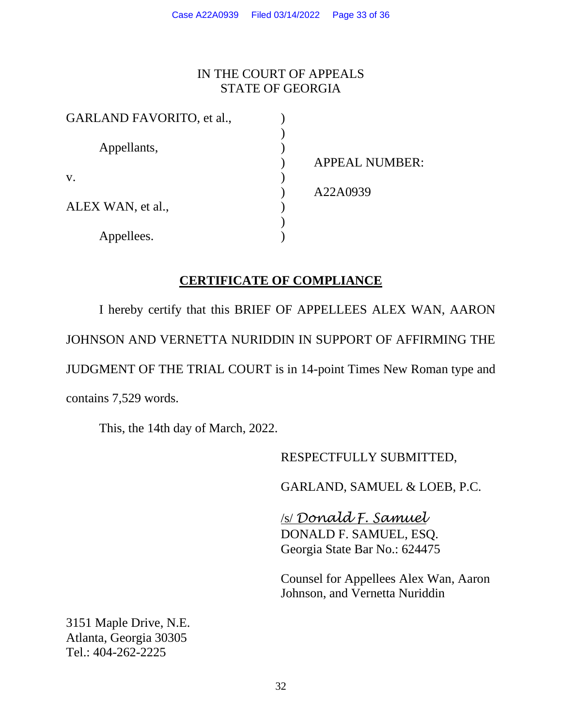## IN THE COURT OF APPEALS STATE OF GEORGIA

| GARLAND FAVORITO, et al., |                       |
|---------------------------|-----------------------|
|                           |                       |
| Appellants,               |                       |
|                           | <b>APPEAL NUMBER:</b> |
| V.                        |                       |
|                           | A22A0939              |
| ALEX WAN, et al.,         |                       |
|                           |                       |
| Appellees.                |                       |

## **CERTIFICATE OF COMPLIANCE**

I hereby certify that this BRIEF OF APPELLEES ALEX WAN, AARON JOHNSON AND VERNETTA NURIDDIN IN SUPPORT OF AFFIRMING THE JUDGMENT OF THE TRIAL COURT is in 14-point Times New Roman type and contains 7,529 words.

This, the 14th day of March, 2022.

RESPECTFULLY SUBMITTED,

GARLAND, SAMUEL & LOEB, P.C.

/s/ *Donald F. Samuel* DONALD F. SAMUEL, ESQ. Georgia State Bar No.: 624475

Counsel for Appellees Alex Wan, Aaron Johnson, and Vernetta Nuriddin

3151 Maple Drive, N.E. Atlanta, Georgia 30305 Tel.: 404-262-2225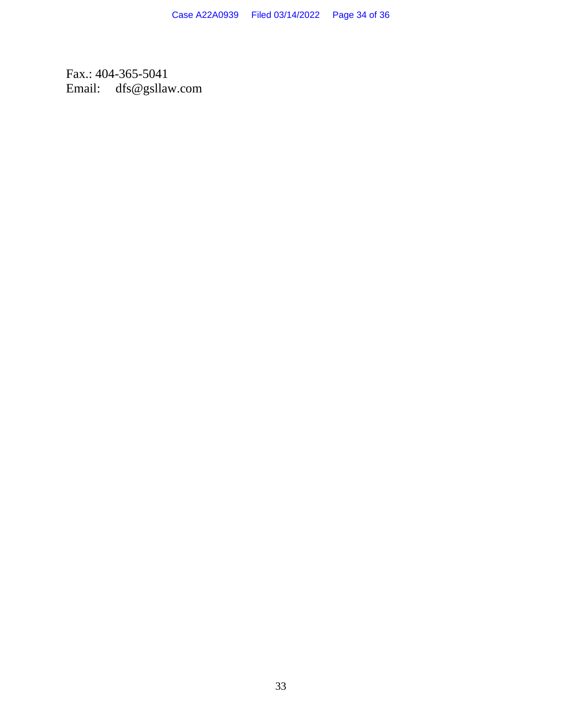Fax.: 404-365-5041 Email: dfs@gsllaw.com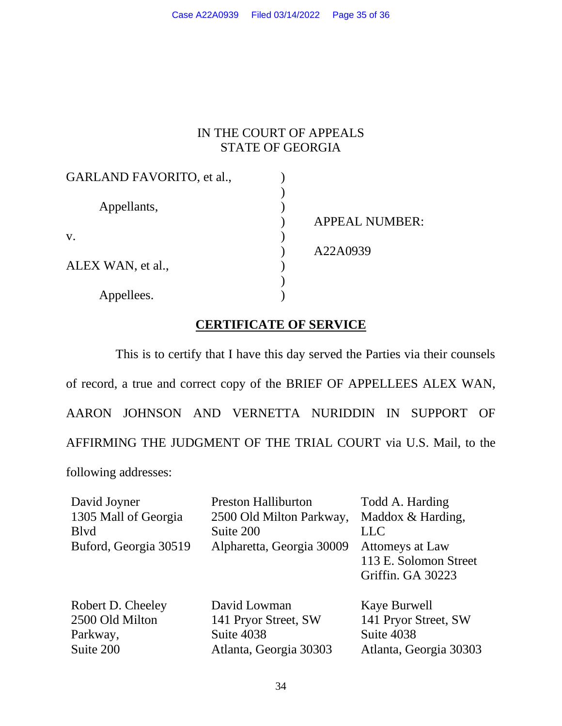# IN THE COURT OF APPEALS STATE OF GEORGIA

| GARLAND FAVORITO, et al., |                       |
|---------------------------|-----------------------|
|                           |                       |
| Appellants,               |                       |
|                           | <b>APPEAL NUMBER:</b> |
| V.                        |                       |
|                           | A22A0939              |
| ALEX WAN, et al.,         |                       |
|                           |                       |
| Appellees.                |                       |

## **CERTIFICATE OF SERVICE**

This is to certify that I have this day served the Parties via their counsels of record, a true and correct copy of the BRIEF OF APPELLEES ALEX WAN, AARON JOHNSON AND VERNETTA NURIDDIN IN SUPPORT OF AFFIRMING THE JUDGMENT OF THE TRIAL COURT via U.S. Mail, to the following addresses:

| David Joyner          | <b>Preston Halliburton</b>           | Todd A. Harding                      |
|-----------------------|--------------------------------------|--------------------------------------|
| 1305 Mall of Georgia  | 2500 Old Milton Parkway,             | Maddox & Harding,                    |
| <b>B</b> lvd          | Suite 200                            | <b>LLC</b>                           |
| Buford, Georgia 30519 | Alpharetta, Georgia 30009            | Attomeys at Law                      |
|                       |                                      | 113 E. Solomon Street                |
|                       |                                      | Griffin. GA 30223                    |
|                       |                                      |                                      |
| 2500 Old Milton       |                                      |                                      |
| Parkway,              | Suite 4038                           | Suite 4038                           |
| Suite 200             | Atlanta, Georgia 30303               | Atlanta, Georgia 30303               |
| Robert D. Cheeley     | David Lowman<br>141 Pryor Street, SW | Kaye Burwell<br>141 Pryor Street, SW |